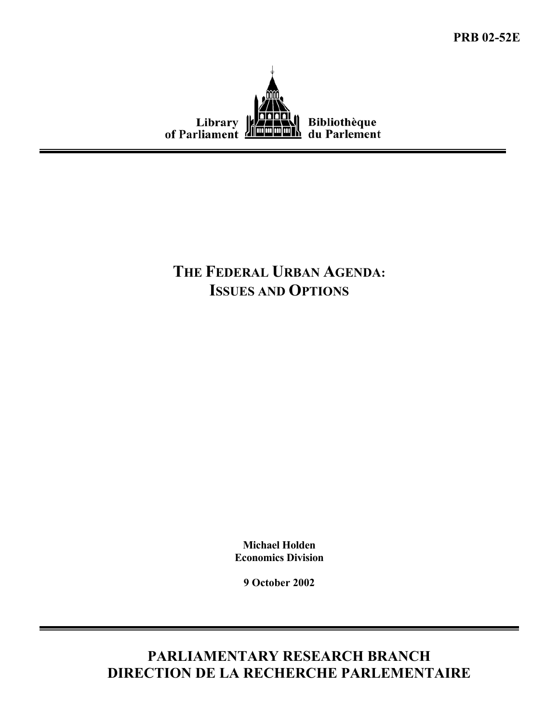**PRB 02-52E**



# **THE FEDERAL URBAN AGENDA: ISSUES AND OPTIONS**

**Michael Holden Economics Division** 

**9 October 2002** 

**PARLIAMENTARY RESEARCH BRANCH DIRECTION DE LA RECHERCHE PARLEMENTAIRE**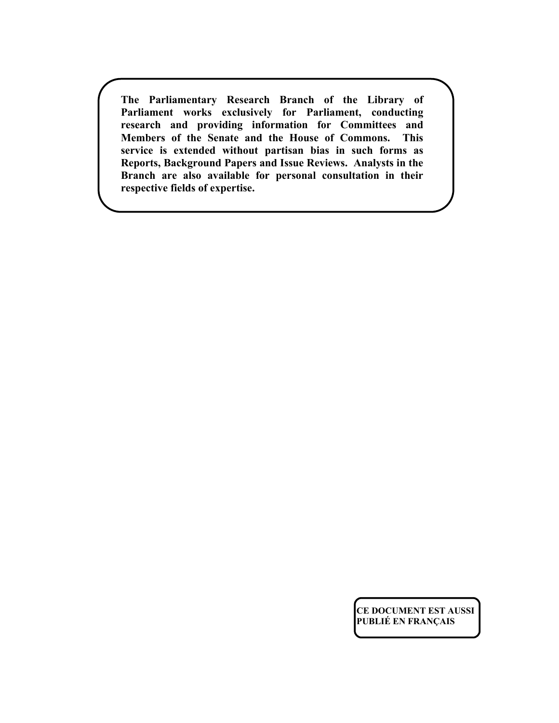**The Parliamentary Research Branch of the Library of Parliament works exclusively for Parliament, conducting research and providing information for Committees and Members of the Senate and the House of Commons. This service is extended without partisan bias in such forms as Reports, Background Papers and Issue Reviews. Analysts in the Branch are also available for personal consultation in their respective fields of expertise.** 

> **CE DOCUMENT EST AUSSI PUBLIÉ EN FRANÇAIS**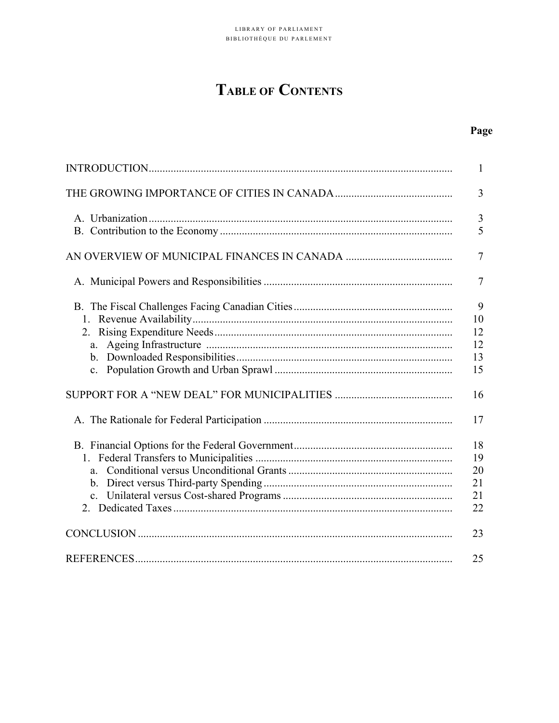# **TABLE OF CONTENTS**

# Page

|       | 1                                |
|-------|----------------------------------|
|       | 3                                |
|       | 3<br>5                           |
|       | $\overline{7}$                   |
|       | $\overline{7}$                   |
| a.    | 9<br>10<br>12<br>12<br>13<br>15  |
|       | 16                               |
|       | 17                               |
| $a -$ | 18<br>19<br>20<br>21<br>21<br>22 |
|       | 23                               |
|       | 25                               |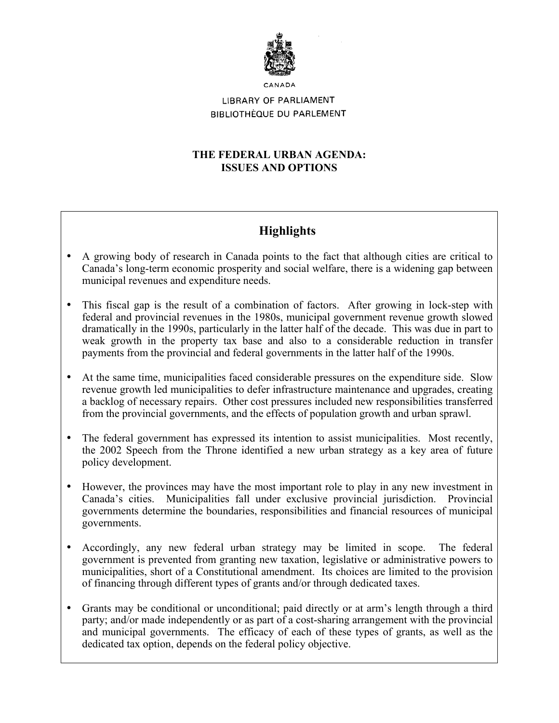

# LIBRARY OF PARLIAMENT **BIBLIOTHÈQUE DU PARLEMENT**

# **THE FEDERAL URBAN AGENDA: ISSUES AND OPTIONS**

# **Highlights**

- A growing body of research in Canada points to the fact that although cities are critical to Canada's long-term economic prosperity and social welfare, there is a widening gap between municipal revenues and expenditure needs.
- This fiscal gap is the result of a combination of factors. After growing in lock-step with federal and provincial revenues in the 1980s, municipal government revenue growth slowed dramatically in the 1990s, particularly in the latter half of the decade. This was due in part to weak growth in the property tax base and also to a considerable reduction in transfer payments from the provincial and federal governments in the latter half of the 1990s.
- At the same time, municipalities faced considerable pressures on the expenditure side. Slow revenue growth led municipalities to defer infrastructure maintenance and upgrades, creating a backlog of necessary repairs. Other cost pressures included new responsibilities transferred from the provincial governments, and the effects of population growth and urban sprawl.
- The federal government has expressed its intention to assist municipalities. Most recently, the 2002 Speech from the Throne identified a new urban strategy as a key area of future policy development.
- However, the provinces may have the most important role to play in any new investment in Canada's cities. Municipalities fall under exclusive provincial jurisdiction. Provincial governments determine the boundaries, responsibilities and financial resources of municipal governments.
- Accordingly, any new federal urban strategy may be limited in scope. The federal government is prevented from granting new taxation, legislative or administrative powers to municipalities, short of a Constitutional amendment. Its choices are limited to the provision of financing through different types of grants and/or through dedicated taxes.
- Grants may be conditional or unconditional; paid directly or at arm's length through a third party; and/or made independently or as part of a cost-sharing arrangement with the provincial and municipal governments. The efficacy of each of these types of grants, as well as the dedicated tax option, depends on the federal policy objective.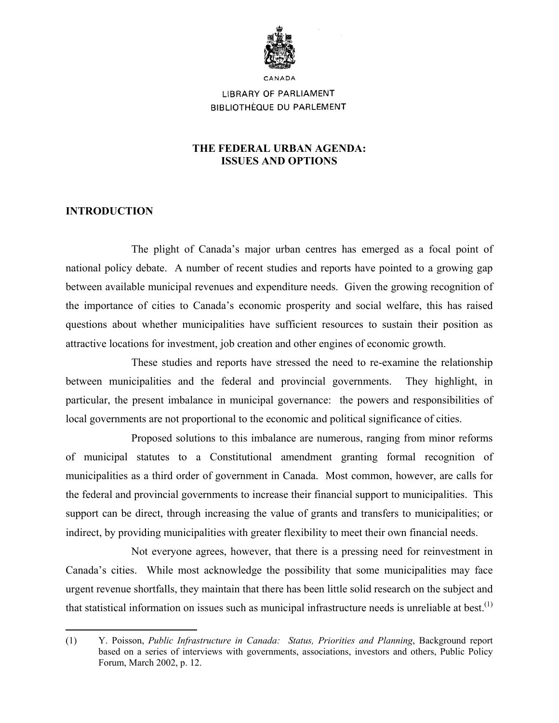

# LIBRARY OF PARLIAMENT **BIBLIOTHÈQUE DU PARLEMENT**

# **THE FEDERAL URBAN AGENDA: ISSUES AND OPTIONS**

# **INTRODUCTION**

The plight of Canada's major urban centres has emerged as a focal point of national policy debate. A number of recent studies and reports have pointed to a growing gap between available municipal revenues and expenditure needs. Given the growing recognition of the importance of cities to Canada's economic prosperity and social welfare, this has raised questions about whether municipalities have sufficient resources to sustain their position as attractive locations for investment, job creation and other engines of economic growth.

These studies and reports have stressed the need to re-examine the relationship between municipalities and the federal and provincial governments. They highlight, in particular, the present imbalance in municipal governance: the powers and responsibilities of local governments are not proportional to the economic and political significance of cities.

Proposed solutions to this imbalance are numerous, ranging from minor reforms of municipal statutes to a Constitutional amendment granting formal recognition of municipalities as a third order of government in Canada. Most common, however, are calls for the federal and provincial governments to increase their financial support to municipalities. This support can be direct, through increasing the value of grants and transfers to municipalities; or indirect, by providing municipalities with greater flexibility to meet their own financial needs.

Not everyone agrees, however, that there is a pressing need for reinvestment in Canada's cities. While most acknowledge the possibility that some municipalities may face urgent revenue shortfalls, they maintain that there has been little solid research on the subject and that statistical information on issues such as municipal infrastructure needs is unreliable at best.<sup>[\(1\)](#page-4-0)</sup>

<span id="page-4-0"></span><sup>1</sup> (1) Y. Poisson, *Public Infrastructure in Canada: Status, Priorities and Planning*, Background report based on a series of interviews with governments, associations, investors and others, Public Policy Forum, March 2002, p. 12.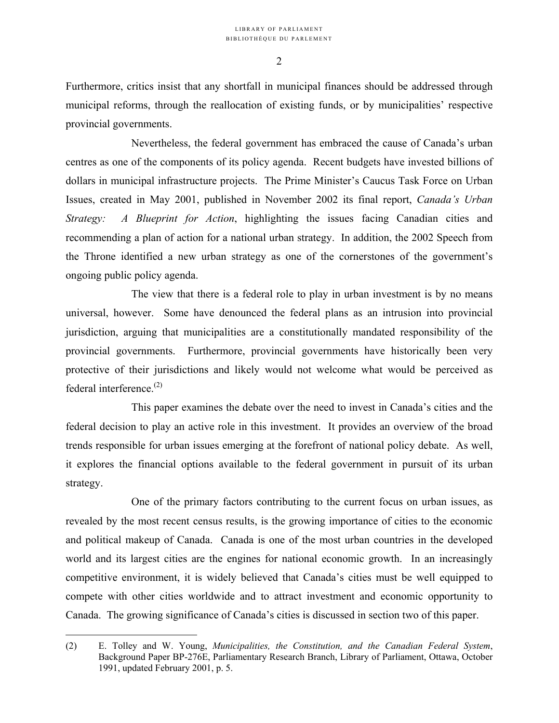Furthermore, critics insist that any shortfall in municipal finances should be addressed through municipal reforms, through the reallocation of existing funds, or by municipalities' respective provincial governments.

Nevertheless, the federal government has embraced the cause of Canada's urban centres as one of the components of its policy agenda. Recent budgets have invested billions of dollars in municipal infrastructure projects. The Prime Minister's Caucus Task Force on Urban Issues, created in May 2001, published in November 2002 its final report, *Canada's Urban Strategy: A Blueprint for Action*, highlighting the issues facing Canadian cities and recommending a plan of action for a national urban strategy. In addition, the 2002 Speech from the Throne identified a new urban strategy as one of the cornerstones of the government's ongoing public policy agenda.

The view that there is a federal role to play in urban investment is by no means universal, however. Some have denounced the federal plans as an intrusion into provincial jurisdiction, arguing that municipalities are a constitutionally mandated responsibility of the provincial governments. Furthermore, provincial governments have historically been very protective of their jurisdictions and likely would not welcome what would be perceived as federal interference. $(2)$ 

This paper examines the debate over the need to invest in Canada's cities and the federal decision to play an active role in this investment. It provides an overview of the broad trends responsible for urban issues emerging at the forefront of national policy debate. As well, it explores the financial options available to the federal government in pursuit of its urban strategy.

One of the primary factors contributing to the current focus on urban issues, as revealed by the most recent census results, is the growing importance of cities to the economic and political makeup of Canada. Canada is one of the most urban countries in the developed world and its largest cities are the engines for national economic growth. In an increasingly competitive environment, it is widely believed that Canada's cities must be well equipped to compete with other cities worldwide and to attract investment and economic opportunity to Canada. The growing significance of Canada's cities is discussed in section two of this paper.

<span id="page-5-0"></span><sup>(2)</sup> E. Tolley and W. Young, *Municipalities, the Constitution, and the Canadian Federal System*, Background Paper BP-276E, Parliamentary Research Branch, Library of Parliament, Ottawa, October 1991, updated February 2001, p. 5.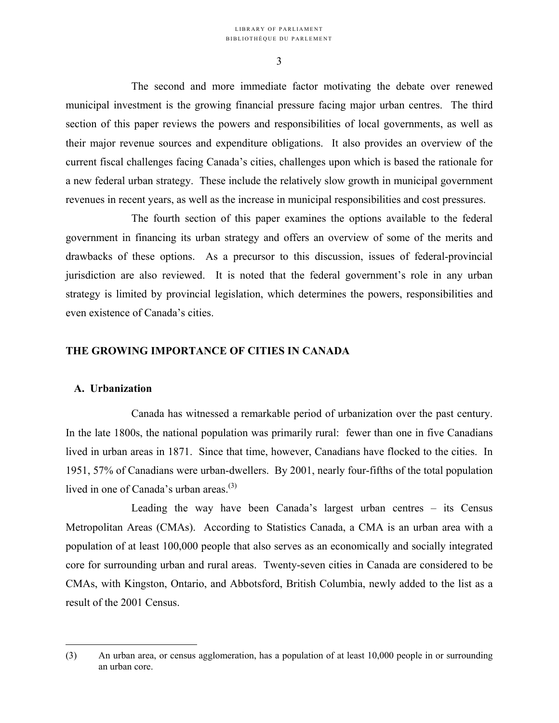The second and more immediate factor motivating the debate over renewed municipal investment is the growing financial pressure facing major urban centres. The third section of this paper reviews the powers and responsibilities of local governments, as well as their major revenue sources and expenditure obligations. It also provides an overview of the current fiscal challenges facing Canada's cities, challenges upon which is based the rationale for a new federal urban strategy. These include the relatively slow growth in municipal government revenues in recent years, as well as the increase in municipal responsibilities and cost pressures.

The fourth section of this paper examines the options available to the federal government in financing its urban strategy and offers an overview of some of the merits and drawbacks of these options. As a precursor to this discussion, issues of federal-provincial jurisdiction are also reviewed. It is noted that the federal government's role in any urban strategy is limited by provincial legislation, which determines the powers, responsibilities and even existence of Canada's cities.

# **THE GROWING IMPORTANCE OF CITIES IN CANADA**

## **A. Urbanization**

1

Canada has witnessed a remarkable period of urbanization over the past century. In the late 1800s, the national population was primarily rural: fewer than one in five Canadians lived in urban areas in 1871. Since that time, however, Canadians have flocked to the cities. In 1951, 57% of Canadians were urban-dwellers. By 2001, nearly four-fifths of the total population lived in one of Canada's urban areas. $^{(3)}$  $^{(3)}$  $^{(3)}$ 

Leading the way have been Canada's largest urban centres – its Census Metropolitan Areas (CMAs). According to Statistics Canada, a CMA is an urban area with a population of at least 100,000 people that also serves as an economically and socially integrated core for surrounding urban and rural areas. Twenty-seven cities in Canada are considered to be CMAs, with Kingston, Ontario, and Abbotsford, British Columbia, newly added to the list as a result of the 2001 Census.

<span id="page-6-0"></span><sup>(3)</sup> An urban area, or census agglomeration, has a population of at least 10,000 people in or surrounding an urban core.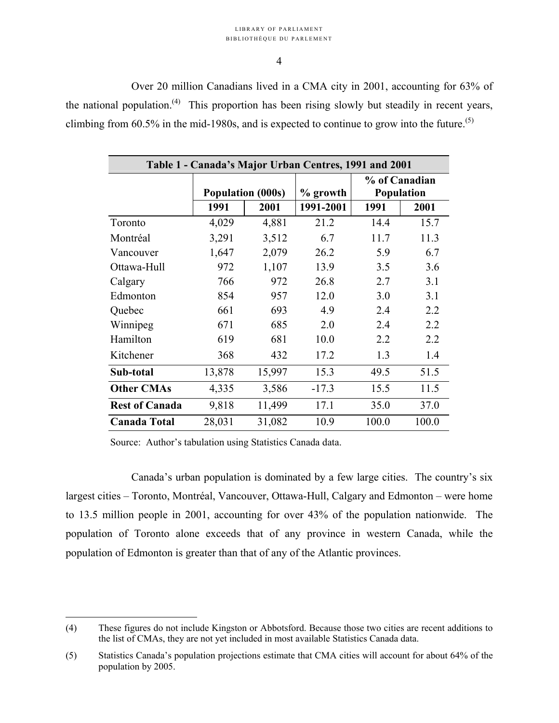#### LIBRARY OF PARLIAMENT BIBLIOTHÈQUE DU PARLEMENT

#### 4

Over 20 million Canadians lived in a CMA city in 2001, accounting for 63% of the national population.<sup>[\(4\)](#page-7-0)</sup> This proportion has been rising slowly but steadily in recent years, climbing from  $60.5\%$  in the mid-1980s, and is expected to continue to grow into the future.<sup>([5\)](#page-7-1)</sup>

| Table 1 - Canada's Major Urban Centres, 1991 and 2001 |                          |        |           |                                    |       |  |
|-------------------------------------------------------|--------------------------|--------|-----------|------------------------------------|-------|--|
|                                                       | <b>Population (000s)</b> |        | % growth  | % of Canadian<br><b>Population</b> |       |  |
|                                                       | 1991                     | 2001   | 1991-2001 | 1991                               | 2001  |  |
| Toronto                                               | 4,029                    | 4,881  | 21.2      | 14.4                               | 15.7  |  |
| Montréal                                              | 3,291                    | 3,512  | 6.7       | 11.7                               | 11.3  |  |
| Vancouver                                             | 1,647                    | 2,079  | 26.2      | 5.9                                | 6.7   |  |
| Ottawa-Hull                                           | 972                      | 1,107  | 13.9      | 3.5                                | 3.6   |  |
| Calgary                                               | 766                      | 972    | 26.8      | 2.7                                | 3.1   |  |
| Edmonton                                              | 854                      | 957    | 12.0      | 3.0                                | 3.1   |  |
| Quebec                                                | 661                      | 693    | 4.9       | 2.4                                | 2.2   |  |
| Winnipeg                                              | 671                      | 685    | 2.0       | 2.4                                | 2.2   |  |
| Hamilton                                              | 619                      | 681    | 10.0      | 2.2                                | 2.2   |  |
| Kitchener                                             | 368                      | 432    | 17.2      | 1.3                                | 1.4   |  |
| Sub-total                                             | 13,878                   | 15,997 | 15.3      | 49.5                               | 51.5  |  |
| <b>Other CMAs</b>                                     | 4,335                    | 3,586  | $-17.3$   | 15.5                               | 11.5  |  |
| <b>Rest of Canada</b>                                 | 9,818                    | 11,499 | 17.1      | 35.0                               | 37.0  |  |
| <b>Canada Total</b>                                   | 28,031                   | 31,082 | 10.9      | 100.0                              | 100.0 |  |

Source: Author's tabulation using Statistics Canada data.

<u>.</u>

Canada's urban population is dominated by a few large cities. The country's six largest cities – Toronto, Montréal, Vancouver, Ottawa-Hull, Calgary and Edmonton – were home to 13.5 million people in 2001, accounting for over 43% of the population nationwide. The population of Toronto alone exceeds that of any province in western Canada, while the population of Edmonton is greater than that of any of the Atlantic provinces.

<span id="page-7-0"></span><sup>(4)</sup> These figures do not include Kingston or Abbotsford. Because those two cities are recent additions to the list of CMAs, they are not yet included in most available Statistics Canada data.

<span id="page-7-1"></span><sup>(5)</sup> Statistics Canada's population projections estimate that CMA cities will account for about 64% of the population by 2005.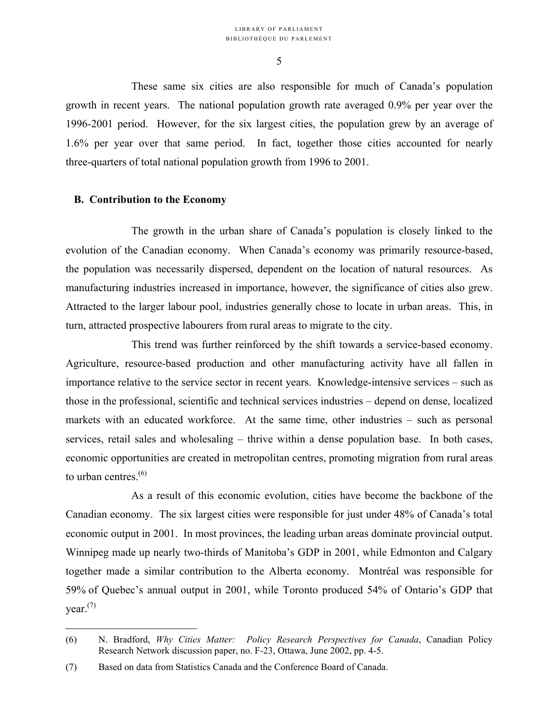These same six cities are also responsible for much of Canada's population growth in recent years. The national population growth rate averaged 0.9% per year over the 1996-2001 period. However, for the six largest cities, the population grew by an average of 1.6% per year over that same period. In fact, together those cities accounted for nearly three-quarters of total national population growth from 1996 to 2001.

# **B. Contribution to the Economy**

The growth in the urban share of Canada's population is closely linked to the evolution of the Canadian economy. When Canada's economy was primarily resource-based, the population was necessarily dispersed, dependent on the location of natural resources. As manufacturing industries increased in importance, however, the significance of cities also grew. Attracted to the larger labour pool, industries generally chose to locate in urban areas. This, in turn, attracted prospective labourers from rural areas to migrate to the city.

This trend was further reinforced by the shift towards a service-based economy. Agriculture, resource-based production and other manufacturing activity have all fallen in importance relative to the service sector in recent years. Knowledge-intensive services – such as those in the professional, scientific and technical services industries – depend on dense, localized markets with an educated workforce. At the same time, other industries – such as personal services, retail sales and wholesaling – thrive within a dense population base. In both cases, economic opportunities are created in metropolitan centres, promoting migration from rural areas to urban centres.<sup>([6\)](#page-8-0)</sup>

As a result of this economic evolution, cities have become the backbone of the Canadian economy. The six largest cities were responsible for just under 48% of Canada's total economic output in 2001. In most provinces, the leading urban areas dominate provincial output. Winnipeg made up nearly two-thirds of Manitoba's GDP in 2001, while Edmonton and Calgary together made a similar contribution to the Alberta economy. Montréal was responsible for 59% of Quebec's annual output in 2001, while Toronto produced 54% of Ontario's GDP that  $year<sup>(7)</sup>$  $year<sup>(7)</sup>$  $year<sup>(7)</sup>$ 

<span id="page-8-0"></span><sup>(6)</sup> N. Bradford, *Why Cities Matter: Policy Research Perspectives for Canada*, Canadian Policy Research Network discussion paper, no. F-23, Ottawa, June 2002, pp. 4-5.

<span id="page-8-1"></span><sup>(7)</sup> Based on data from Statistics Canada and the Conference Board of Canada.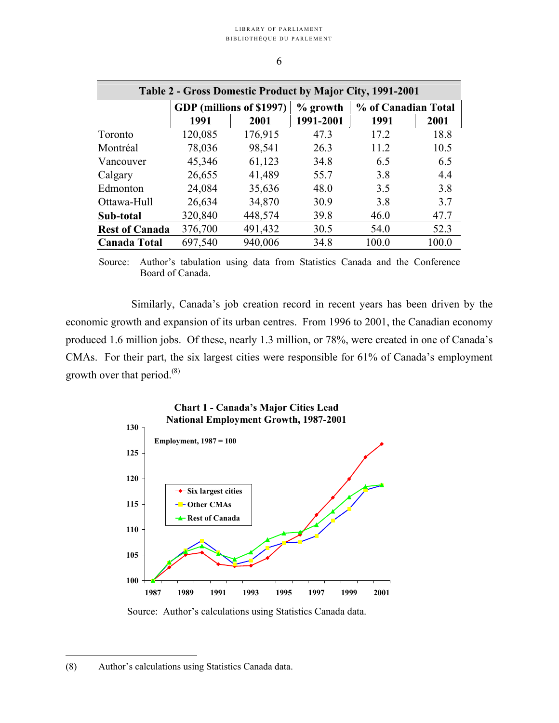| Table 2 - Gross Domestic Product by Major City, 1991-2001 |                          |         |            |                     |       |  |
|-----------------------------------------------------------|--------------------------|---------|------------|---------------------|-------|--|
|                                                           | GDP (millions of \$1997) |         | $%$ growth | % of Canadian Total |       |  |
|                                                           | 1991                     | 2001    | 1991-2001  | 1991                | 2001  |  |
| Toronto                                                   | 120,085                  | 176,915 | 47.3       | 17.2                | 18.8  |  |
| Montréal                                                  | 78,036                   | 98,541  | 26.3       | 11.2                | 10.5  |  |
| Vancouver                                                 | 45,346                   | 61,123  | 34.8       | 6.5                 | 6.5   |  |
| Calgary                                                   | 26,655                   | 41,489  | 55.7       | 3.8                 | 4.4   |  |
| Edmonton                                                  | 24,084                   | 35,636  | 48.0       | 3.5                 | 3.8   |  |
| Ottawa-Hull                                               | 26,634                   | 34,870  | 30.9       | 3.8                 | 3.7   |  |
| Sub-total                                                 | 320,840                  | 448,574 | 39.8       | 46.0                | 47.7  |  |
| <b>Rest of Canada</b>                                     | 376,700                  | 491,432 | 30.5       | 54.0                | 52.3  |  |
| <b>Canada Total</b>                                       | 697,540                  | 940,006 | 34.8       | 100.0               | 100.0 |  |

6

Source: Author's tabulation using data from Statistics Canada and the Conference Board of Canada.

Similarly, Canada's job creation record in recent years has been driven by the economic growth and expansion of its urban centres. From 1996 to 2001, the Canadian economy produced 1.6 million jobs. Of these, nearly 1.3 million, or 78%, were created in one of Canada's CMAs. For their part, the six largest cities were responsible for 61% of Canada's employment growth over that period. $^{(8)}$  $^{(8)}$  $^{(8)}$ 





Source: Author's calculations using Statistics Canada data.

<span id="page-9-0"></span><sup>(8)</sup> Author's calculations using Statistics Canada data.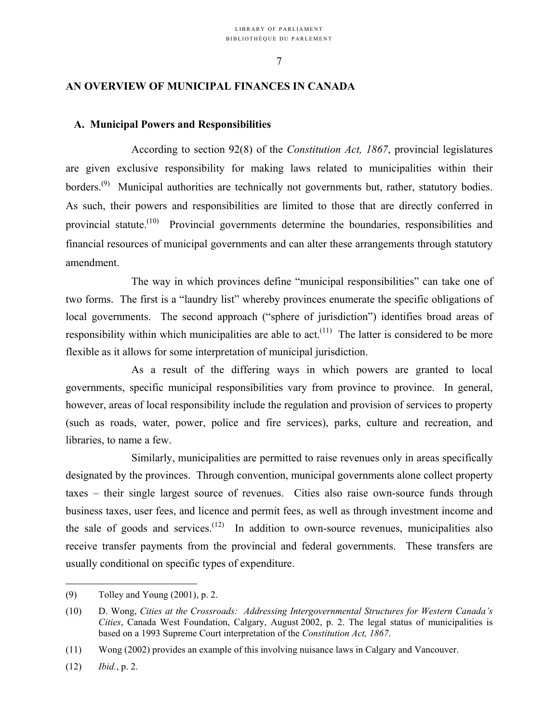# **AN OVERVIEW OF MUNICIPAL FINANCES IN CANADA**

## **A. Municipal Powers and Responsibilities**

According to section 92(8) of the *Constitution Act, 1867*, provincial legislatures are given exclusive responsibility for making laws related to municipalities within their borders.<sup>([9\)](#page-10-0)</sup> Municipal authorities are technically not governments but, rather, statutory bodies. As such, their powers and responsibilities are limited to those that are directly conferred in provincial statute.<sup>(10)</sup> Provincial governments determine the boundaries, responsibilities and financial resources of municipal governments and can alter these arrangements through statutory amendment.

The way in which provinces define "municipal responsibilities" can take one of two forms. The first is a "laundry list" whereby provinces enumerate the specific obligations of local governments. The second approach ("sphere of jurisdiction") identifies broad areas of responsibility within which municipalities are able to act.<sup> $(11)$ </sup> The latter is considered to be more flexible as it allows for some interpretation of municipal jurisdiction.

As a result of the differing ways in which powers are granted to local governments, specific municipal responsibilities vary from province to province. In general, however, areas of local responsibility include the regulation and provision of services to property (such as roads, water, power, police and fire services), parks, culture and recreation, and libraries, to name a few.

Similarly, municipalities are permitted to raise revenues only in areas specifically designated by the provinces. Through convention, municipal governments alone collect property taxes – their single largest source of revenues. Cities also raise own-source funds through business taxes, user fees, and licence and permit fees, as well as through investment income and the sale of goods and services.<sup> $(12)$ </sup> In addition to own-source revenues, municipalities also receive transfer payments from the provincial and federal governments. These transfers are usually conditional on specific types of expenditure.

<span id="page-10-0"></span><sup>(9)</sup> Tolley and Young (2001), p. 2.

<span id="page-10-1"></span><sup>(10)</sup> D. Wong, *Cities at the Crossroads: Addressing Intergovernmental Structures for Western Canada's Cities*, Canada West Foundation, Calgary, August 2002, p. 2. The legal status of municipalities is based on a 1993 Supreme Court interpretation of the *Constitution Act, 1867*.

<span id="page-10-2"></span><sup>(11)</sup> Wong (2002) provides an example of this involving nuisance laws in Calgary and Vancouver.

<span id="page-10-3"></span><sup>(12)</sup> *Ibid.*, p. 2.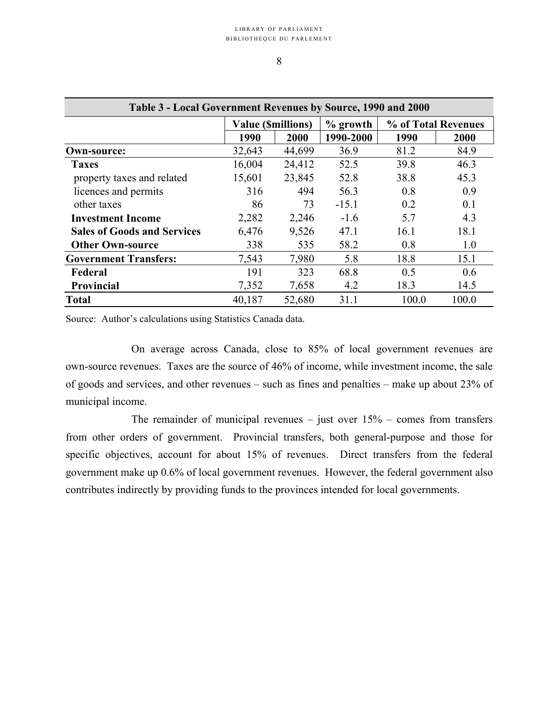| Table 3 - Local Government Revenues by Source, 1990 and 2000 |                          |        |                                   |       |       |  |
|--------------------------------------------------------------|--------------------------|--------|-----------------------------------|-------|-------|--|
|                                                              | <b>Value (Smillions)</b> |        | % of Total Revenues<br>$%$ growth |       |       |  |
|                                                              | 1990                     | 2000   | 1990-2000                         | 1990  | 2000  |  |
| Own-source:                                                  | 32,643                   | 44,699 | 36.9                              | 81.2  | 84.9  |  |
| <b>Taxes</b>                                                 | 16,004                   | 24,412 | 52.5                              | 39.8  | 46.3  |  |
| property taxes and related                                   | 15,601                   | 23,845 | 52.8                              | 38.8  | 45.3  |  |
| licences and permits                                         | 316                      | 494    | 56.3                              | 0.8   | 0.9   |  |
| other taxes                                                  | 86                       | 73     | $-15.1$                           | 0.2   | 0.1   |  |
| <b>Investment Income</b>                                     | 2,282                    | 2,246  | $-1.6$                            | 5.7   | 4.3   |  |
| <b>Sales of Goods and Services</b>                           | 6,476                    | 9,526  | 47.1                              | 16.1  | 18.1  |  |
| <b>Other Own-source</b>                                      | 338                      | 535    | 58.2                              | 0.8   | 1.0   |  |
| <b>Government Transfers:</b>                                 | 7,543                    | 7,980  | 5.8                               | 18.8  | 15.1  |  |
| Federal                                                      | 191                      | 323    | 68.8                              | 0.5   | 0.6   |  |
| <b>Provincial</b>                                            | 7,352                    | 7,658  | 4.2                               | 18.3  | 14.5  |  |
| <b>Total</b>                                                 | 40,187                   | 52,680 | 31.1                              | 100.0 | 100.0 |  |

Source: Author's calculations using Statistics Canada data.

On average across Canada, close to 85% of local government revenues are own-source revenues. Taxes are the source of 46% of income, while investment income, the sale of goods and services, and other revenues – such as fines and penalties – make up about 23% of municipal income.

The remainder of municipal revenues – just over  $15%$  – comes from transfers from other orders of government. Provincial transfers, both general-purpose and those for specific objectives, account for about 15% of revenues. Direct transfers from the federal government make up 0.6% of local government revenues. However, the federal government also contributes indirectly by providing funds to the provinces intended for local governments.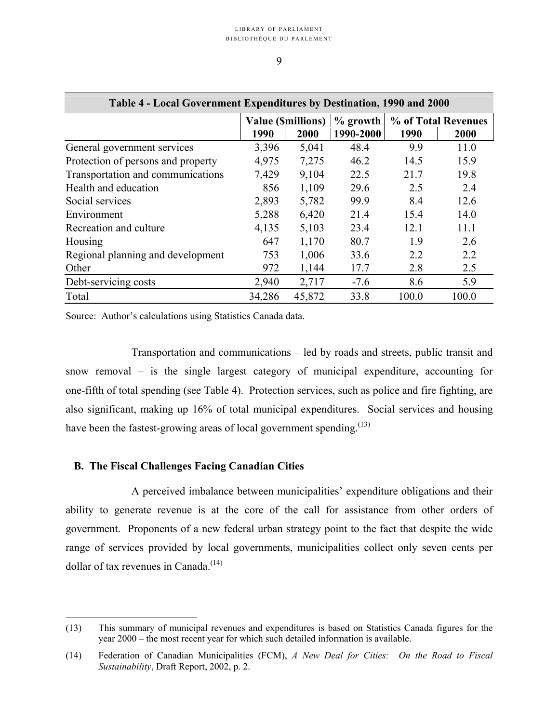| Table 4 - Local Government Expenditures by Destination, 1990 and 2000 |        |                          |           |                                    |       |  |
|-----------------------------------------------------------------------|--------|--------------------------|-----------|------------------------------------|-------|--|
|                                                                       |        | <b>Value (Smillions)</b> |           | $\%$ growth<br>% of Total Revenues |       |  |
|                                                                       | 1990   | 2000                     | 1990-2000 | 1990                               | 2000  |  |
| General government services                                           | 3,396  | 5,041                    | 48.4      | 9.9                                | 11.0  |  |
| Protection of persons and property                                    | 4,975  | 7,275                    | 46.2      | 14.5                               | 15.9  |  |
| Transportation and communications                                     | 7,429  | 9,104                    | 22.5      | 21.7                               | 19.8  |  |
| Health and education                                                  | 856    | 1,109                    | 29.6      | 2.5                                | 2.4   |  |
| Social services                                                       | 2,893  | 5,782                    | 99.9      | 8.4                                | 12.6  |  |
| Environment                                                           | 5,288  | 6,420                    | 21.4      | 15.4                               | 14.0  |  |
| Recreation and culture                                                | 4,135  | 5,103                    | 23.4      | 12.1                               | 11.1  |  |
| Housing                                                               | 647    | 1,170                    | 80.7      | 1.9                                | 2.6   |  |
| Regional planning and development                                     | 753    | 1,006                    | 33.6      | 2.2                                | 2.2   |  |
| Other                                                                 | 972    | 1,144                    | 17.7      | 2.8                                | 2.5   |  |
| Debt-servicing costs                                                  | 2,940  | 2,717                    | $-7.6$    | 8.6                                | 5.9   |  |
| Total                                                                 | 34,286 | 45,872                   | 33.8      | 100.0                              | 100.0 |  |

Source: Author's calculations using Statistics Canada data.

Transportation and communications – led by roads and streets, public transit and snow removal – is the single largest category of municipal expenditure, accounting for one-fifth of total spending (see Table 4). Protection services, such as police and fire fighting, are also significant, making up 16% of total municipal expenditures. Social services and housing have been the fastest-growing areas of local government spending.<sup> $(13)$ </sup>

## **B. The Fiscal Challenges Facing Canadian Cities**

<u>.</u>

A perceived imbalance between municipalities' expenditure obligations and their ability to generate revenue is at the core of the call for assistance from other orders of government. Proponents of a new federal urban strategy point to the fact that despite the wide range of services provided by local governments, municipalities collect only seven cents per dollar of tax revenues in Canada.<sup> $(14)$ </sup>

<span id="page-12-0"></span><sup>(13)</sup> This summary of municipal revenues and expenditures is based on Statistics Canada figures for the year 2000 – the most recent year for which such detailed information is available.

<span id="page-12-1"></span><sup>(14)</sup> Federation of Canadian Municipalities (FCM), *A New Deal for Cities: On the Road to Fiscal Sustainability*, Draft Report, 2002, p. 2.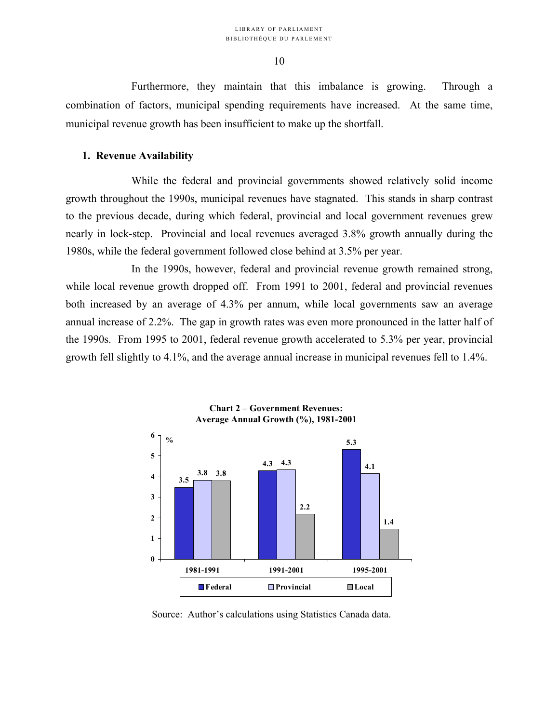Furthermore, they maintain that this imbalance is growing. Through a combination of factors, municipal spending requirements have increased. At the same time, municipal revenue growth has been insufficient to make up the shortfall.

# **1. Revenue Availability**

While the federal and provincial governments showed relatively solid income growth throughout the 1990s, municipal revenues have stagnated. This stands in sharp contrast to the previous decade, during which federal, provincial and local government revenues grew nearly in lock-step. Provincial and local revenues averaged 3.8% growth annually during the 1980s, while the federal government followed close behind at 3.5% per year.

In the 1990s, however, federal and provincial revenue growth remained strong, while local revenue growth dropped off. From 1991 to 2001, federal and provincial revenues both increased by an average of 4.3% per annum, while local governments saw an average annual increase of 2.2%. The gap in growth rates was even more pronounced in the latter half of the 1990s. From 1995 to 2001, federal revenue growth accelerated to 5.3% per year, provincial growth fell slightly to 4.1%, and the average annual increase in municipal revenues fell to 1.4%.



Source: Author's calculations using Statistics Canada data.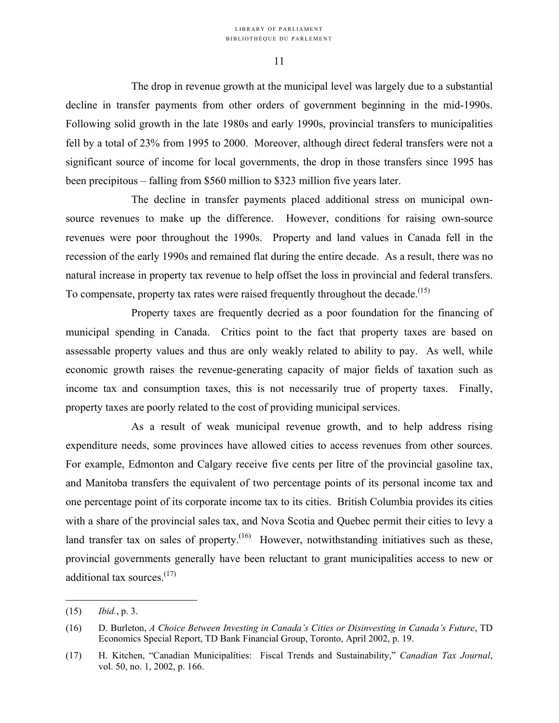The drop in revenue growth at the municipal level was largely due to a substantial decline in transfer payments from other orders of government beginning in the mid-1990s. Following solid growth in the late 1980s and early 1990s, provincial transfers to municipalities fell by a total of 23% from 1995 to 2000. Moreover, although direct federal transfers were not a significant source of income for local governments, the drop in those transfers since 1995 has been precipitous – falling from \$560 million to \$323 million five years later.

The decline in transfer payments placed additional stress on municipal ownsource revenues to make up the difference. However, conditions for raising own-source revenues were poor throughout the 1990s. Property and land values in Canada fell in the recession of the early 1990s and remained flat during the entire decade. As a result, there was no natural increase in property tax revenue to help offset the loss in provincial and federal transfers. To compensate, property tax rates were raised frequently throughout the decade.<sup> $(15)$  $(15)$ </sup>

Property taxes are frequently decried as a poor foundation for the financing of municipal spending in Canada. Critics point to the fact that property taxes are based on assessable property values and thus are only weakly related to ability to pay. As well, while economic growth raises the revenue-generating capacity of major fields of taxation such as income tax and consumption taxes, this is not necessarily true of property taxes. Finally, property taxes are poorly related to the cost of providing municipal services.

As a result of weak municipal revenue growth, and to help address rising expenditure needs, some provinces have allowed cities to access revenues from other sources. For example, Edmonton and Calgary receive five cents per litre of the provincial gasoline tax, and Manitoba transfers the equivalent of two percentage points of its personal income tax and one percentage point of its corporate income tax to its cities. British Columbia provides its cities with a share of the provincial sales tax, and Nova Scotia and Quebec permit their cities to levy a land transfer tax on sales of property.<sup> $(16)$ </sup> However, notwithstanding initiatives such as these, provincial governments generally have been reluctant to grant municipalities access to new or additional tax sources. $(17)$ 

<u>.</u>

<span id="page-14-0"></span><sup>(15)</sup> *Ibid.*, p. 3.

<span id="page-14-1"></span><sup>(16)</sup> D. Burleton, *A Choice Between Investing in Canada's Cities or Disinvesting in Canada's Future*, TD Economics Special Report, TD Bank Financial Group, Toronto, April 2002, p. 19.

<span id="page-14-2"></span><sup>(17)</sup> H. Kitchen, "Canadian Municipalities: Fiscal Trends and Sustainability," *Canadian Tax Journal*, vol. 50, no. 1, 2002, p. 166.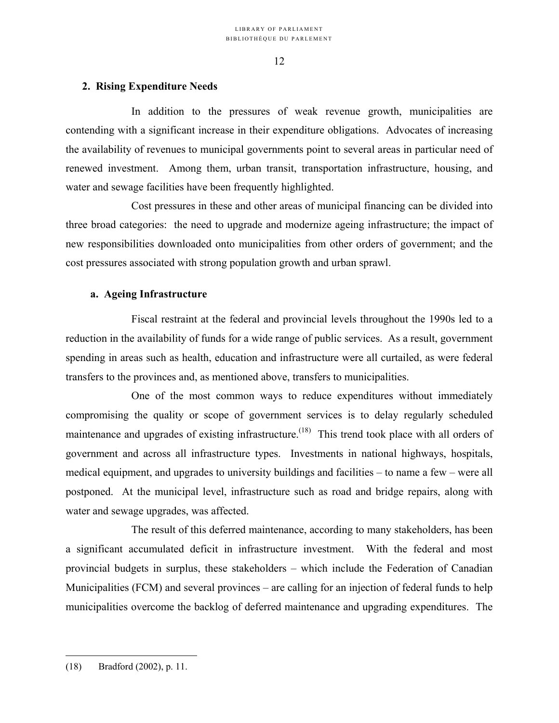# **2. Rising Expenditure Needs**

In addition to the pressures of weak revenue growth, municipalities are contending with a significant increase in their expenditure obligations. Advocates of increasing the availability of revenues to municipal governments point to several areas in particular need of renewed investment. Among them, urban transit, transportation infrastructure, housing, and water and sewage facilities have been frequently highlighted.

Cost pressures in these and other areas of municipal financing can be divided into three broad categories: the need to upgrade and modernize ageing infrastructure; the impact of new responsibilities downloaded onto municipalities from other orders of government; and the cost pressures associated with strong population growth and urban sprawl.

# **a. Ageing Infrastructure**

Fiscal restraint at the federal and provincial levels throughout the 1990s led to a reduction in the availability of funds for a wide range of public services. As a result, government spending in areas such as health, education and infrastructure were all curtailed, as were federal transfers to the provinces and, as mentioned above, transfers to municipalities.

One of the most common ways to reduce expenditures without immediately compromising the quality or scope of government services is to delay regularly scheduled maintenance and upgrades of existing infrastructure.<sup>(18)</sup> This trend took place with all orders of government and across all infrastructure types. Investments in national highways, hospitals, medical equipment, and upgrades to university buildings and facilities – to name a few – were all postponed. At the municipal level, infrastructure such as road and bridge repairs, along with water and sewage upgrades, was affected.

The result of this deferred maintenance, according to many stakeholders, has been a significant accumulated deficit in infrastructure investment. With the federal and most provincial budgets in surplus, these stakeholders – which include the Federation of Canadian Municipalities (FCM) and several provinces – are calling for an injection of federal funds to help municipalities overcome the backlog of deferred maintenance and upgrading expenditures. The

<span id="page-15-0"></span><sup>(18)</sup> Bradford (2002), p. 11.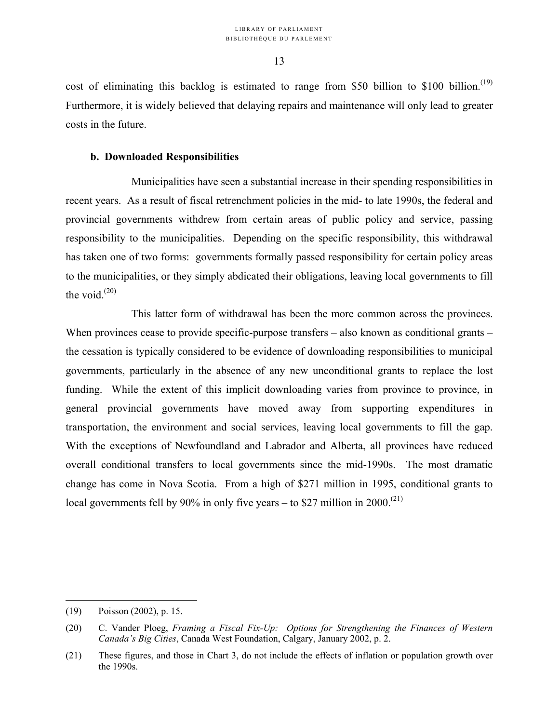cost of eliminating this backlog is estimated to range from \$50 billion to \$100 billion.<sup>[\(19\)](#page-16-0)</sup> Furthermore, it is widely believed that delaying repairs and maintenance will only lead to greater costs in the future.

# **b. Downloaded Responsibilities**

Municipalities have seen a substantial increase in their spending responsibilities in recent years. As a result of fiscal retrenchment policies in the mid- to late 1990s, the federal and provincial governments withdrew from certain areas of public policy and service, passing responsibility to the municipalities. Depending on the specific responsibility, this withdrawal has taken one of two forms: governments formally passed responsibility for certain policy areas to the municipalities, or they simply abdicated their obligations, leaving local governments to fill the void. $(20)$ 

This latter form of withdrawal has been the more common across the provinces. When provinces cease to provide specific-purpose transfers – also known as conditional grants – the cessation is typically considered to be evidence of downloading responsibilities to municipal governments, particularly in the absence of any new unconditional grants to replace the lost funding. While the extent of this implicit downloading varies from province to province, in general provincial governments have moved away from supporting expenditures in transportation, the environment and social services, leaving local governments to fill the gap. With the exceptions of Newfoundland and Labrador and Alberta, all provinces have reduced overall conditional transfers to local governments since the mid-1990s. The most dramatic change has come in Nova Scotia. From a high of \$271 million in 1995, conditional grants to local governments fell by 90% in only five years – to \$27 million in 2000.<sup>(21)</sup>

<u>.</u>

<span id="page-16-0"></span><sup>(19)</sup> Poisson (2002), p. 15.

<span id="page-16-1"></span><sup>(20)</sup> C. Vander Ploeg, *Framing a Fiscal Fix-Up: Options for Strengthening the Finances of Western Canada's Big Cities*, Canada West Foundation, Calgary, January 2002, p. 2.

<span id="page-16-2"></span><sup>(21)</sup> These figures, and those in Chart 3, do not include the effects of inflation or population growth over the 1990s.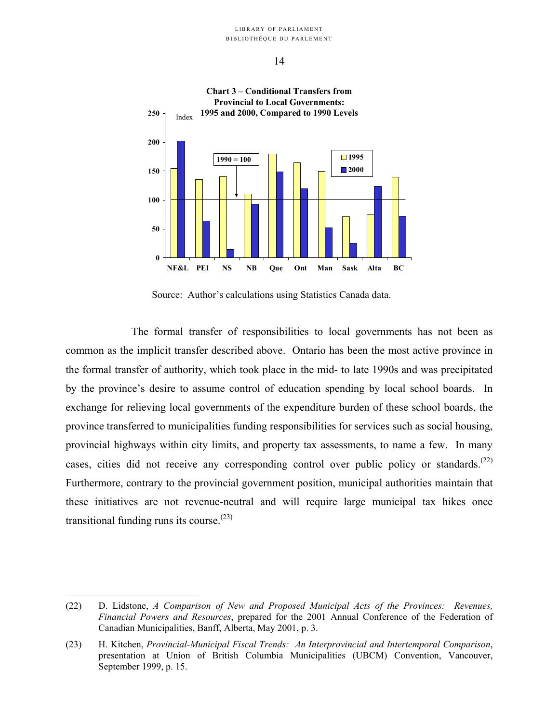

Source: Author's calculations using Statistics Canada data.

The formal transfer of responsibilities to local governments has not been as common as the implicit transfer described above. Ontario has been the most active province in the formal transfer of authority, which took place in the mid- to late 1990s and was precipitated by the province's desire to assume control of education spending by local school boards. In exchange for relieving local governments of the expenditure burden of these school boards, the province transferred to municipalities funding responsibilities for services such as social housing, provincial highways within city limits, and property tax assessments, to name a few. In many cases, cities did not receive any corresponding control over public policy or standards.<sup> $(22)$ </sup> Furthermore, contrary to the provincial government position, municipal authorities maintain that these initiatives are not revenue-neutral and will require large municipal tax hikes once transitional funding runs its course. $(23)$  $(23)$ 

<span id="page-17-0"></span><sup>(22)</sup> D. Lidstone, *A Comparison of New and Proposed Municipal Acts of the Provinces: Revenues, Financial Powers and Resources*, prepared for the 2001 Annual Conference of the Federation of Canadian Municipalities, Banff, Alberta, May 2001, p. 3.

<span id="page-17-1"></span><sup>(23)</sup> H. Kitchen, *Provincial-Municipal Fiscal Trends: An Interprovincial and Intertemporal Comparison*, presentation at Union of British Columbia Municipalities (UBCM) Convention, Vancouver, September 1999, p. 15.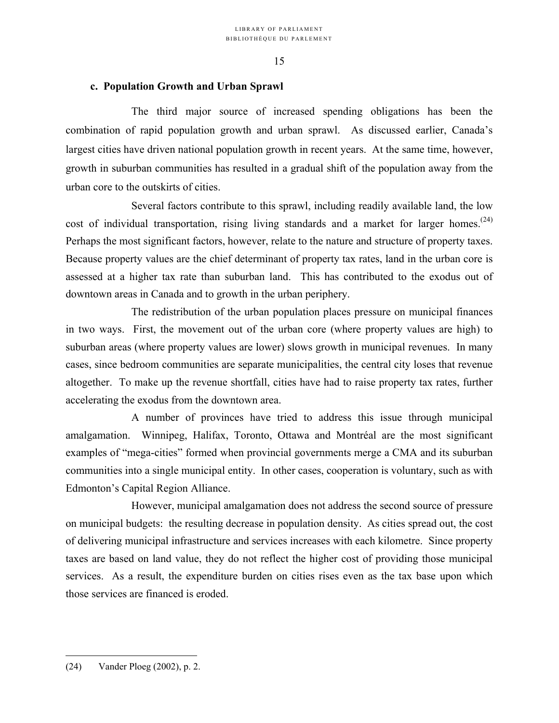# **c. Population Growth and Urban Sprawl**

The third major source of increased spending obligations has been the combination of rapid population growth and urban sprawl. As discussed earlier, Canada's largest cities have driven national population growth in recent years. At the same time, however, growth in suburban communities has resulted in a gradual shift of the population away from the urban core to the outskirts of cities.

Several factors contribute to this sprawl, including readily available land, the low cost of individual transportation, rising living standards and a market for larger homes.<sup>[\(24\)](#page-18-0)</sup> Perhaps the most significant factors, however, relate to the nature and structure of property taxes. Because property values are the chief determinant of property tax rates, land in the urban core is assessed at a higher tax rate than suburban land. This has contributed to the exodus out of downtown areas in Canada and to growth in the urban periphery.

The redistribution of the urban population places pressure on municipal finances in two ways. First, the movement out of the urban core (where property values are high) to suburban areas (where property values are lower) slows growth in municipal revenues. In many cases, since bedroom communities are separate municipalities, the central city loses that revenue altogether. To make up the revenue shortfall, cities have had to raise property tax rates, further accelerating the exodus from the downtown area.

A number of provinces have tried to address this issue through municipal amalgamation. Winnipeg, Halifax, Toronto, Ottawa and Montréal are the most significant examples of "mega-cities" formed when provincial governments merge a CMA and its suburban communities into a single municipal entity. In other cases, cooperation is voluntary, such as with Edmonton's Capital Region Alliance.

<span id="page-18-0"></span>However, municipal amalgamation does not address the second source of pressure on municipal budgets: the resulting decrease in population density. As cities spread out, the cost of delivering municipal infrastructure and services increases with each kilometre. Since property taxes are based on land value, they do not reflect the higher cost of providing those municipal services. As a result, the expenditure burden on cities rises even as the tax base upon which those services are financed is eroded.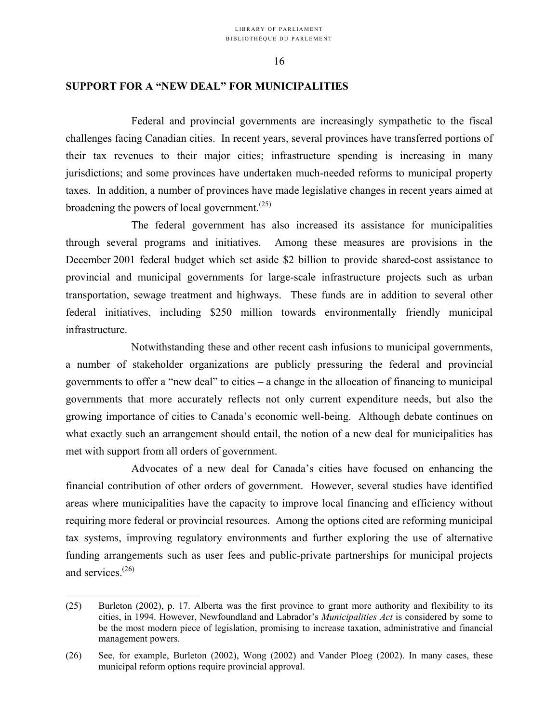# **SUPPORT FOR A "NEW DEAL" FOR MUNICIPALITIES**

Federal and provincial governments are increasingly sympathetic to the fiscal challenges facing Canadian cities. In recent years, several provinces have transferred portions of their tax revenues to their major cities; infrastructure spending is increasing in many jurisdictions; and some provinces have undertaken much-needed reforms to municipal property taxes. In addition, a number of provinces have made legislative changes in recent years aimed at broadening the powers of local government. $(25)$  $(25)$ 

The federal government has also increased its assistance for municipalities through several programs and initiatives. Among these measures are provisions in the December 2001 federal budget which set aside \$2 billion to provide shared-cost assistance to provincial and municipal governments for large-scale infrastructure projects such as urban transportation, sewage treatment and highways. These funds are in addition to several other federal initiatives, including \$250 million towards environmentally friendly municipal infrastructure.

Notwithstanding these and other recent cash infusions to municipal governments, a number of stakeholder organizations are publicly pressuring the federal and provincial governments to offer a "new deal" to cities – a change in the allocation of financing to municipal governments that more accurately reflects not only current expenditure needs, but also the growing importance of cities to Canada's economic well-being. Although debate continues on what exactly such an arrangement should entail, the notion of a new deal for municipalities has met with support from all orders of government.

Advocates of a new deal for Canada's cities have focused on enhancing the financial contribution of other orders of government. However, several studies have identified areas where municipalities have the capacity to improve local financing and efficiency without requiring more federal or provincial resources. Among the options cited are reforming municipal tax systems, improving regulatory environments and further exploring the use of alternative funding arrangements such as user fees and public-private partnerships for municipal projects and services. ([26\)](#page-19-1) 

<span id="page-19-0"></span><sup>(25)</sup> Burleton (2002), p. 17. Alberta was the first province to grant more authority and flexibility to its cities, in 1994. However, Newfoundland and Labrador's *Municipalities Act* is considered by some to be the most modern piece of legislation, promising to increase taxation, administrative and financial management powers.

<span id="page-19-1"></span><sup>(26)</sup> See, for example, Burleton (2002), Wong (2002) and Vander Ploeg (2002). In many cases, these municipal reform options require provincial approval.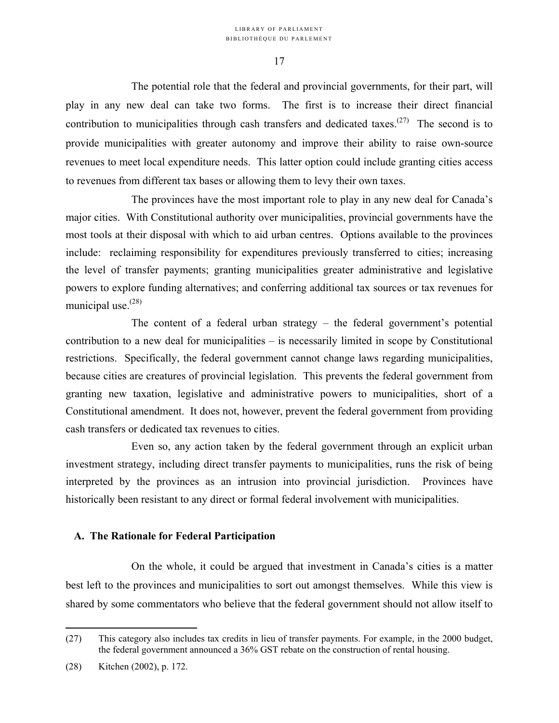The potential role that the federal and provincial governments, for their part, will play in any new deal can take two forms. The first is to increase their direct financial contribution to municipalities through cash transfers and dedicated taxes.<sup> $(27)$ </sup> The second is to provide municipalities with greater autonomy and improve their ability to raise own-source revenues to meet local expenditure needs. This latter option could include granting cities access to revenues from different tax bases or allowing them to levy their own taxes.

The provinces have the most important role to play in any new deal for Canada's major cities. With Constitutional authority over municipalities, provincial governments have the most tools at their disposal with which to aid urban centres. Options available to the provinces include: reclaiming responsibility for expenditures previously transferred to cities; increasing the level of transfer payments; granting municipalities greater administrative and legislative powers to explore funding alternatives; and conferring additional tax sources or tax revenues for municipal use. $(28)$  $(28)$ 

The content of a federal urban strategy – the federal government's potential contribution to a new deal for municipalities – is necessarily limited in scope by Constitutional restrictions. Specifically, the federal government cannot change laws regarding municipalities, because cities are creatures of provincial legislation. This prevents the federal government from granting new taxation, legislative and administrative powers to municipalities, short of a Constitutional amendment. It does not, however, prevent the federal government from providing cash transfers or dedicated tax revenues to cities.

Even so, any action taken by the federal government through an explicit urban investment strategy, including direct transfer payments to municipalities, runs the risk of being interpreted by the provinces as an intrusion into provincial jurisdiction. Provinces have historically been resistant to any direct or formal federal involvement with municipalities.

# **A. The Rationale for Federal Participation**

On the whole, it could be argued that investment in Canada's cities is a matter best left to the provinces and municipalities to sort out amongst themselves. While this view is shared by some commentators who believe that the federal government should not allow itself to

<span id="page-20-0"></span><sup>(27)</sup> This category also includes tax credits in lieu of transfer payments. For example, in the 2000 budget, the federal government announced a 36% GST rebate on the construction of rental housing.

<span id="page-20-1"></span><sup>(28)</sup> Kitchen (2002), p. 172.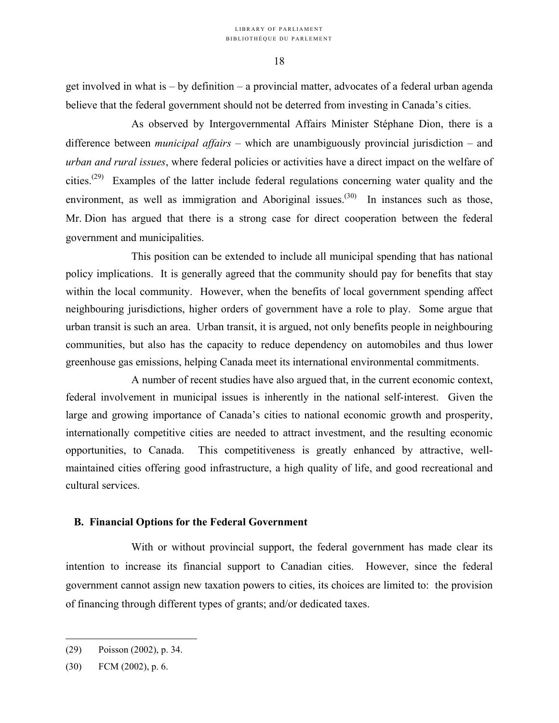get involved in what is – by definition – a provincial matter, advocates of a federal urban agenda believe that the federal government should not be deterred from investing in Canada's cities.

As observed by Intergovernmental Affairs Minister Stéphane Dion, there is a difference between *municipal affairs* – which are unambiguously provincial jurisdiction – and *urban and rural issues*, where federal policies or activities have a direct impact on the welfare of cities.[\(29\)](#page-21-0) Examples of the latter include federal regulations concerning water quality and the environment, as well as immigration and Aboriginal issues.<sup>(30)</sup> In instances such as those, Mr. Dion has argued that there is a strong case for direct cooperation between the federal government and municipalities.

This position can be extended to include all municipal spending that has national policy implications. It is generally agreed that the community should pay for benefits that stay within the local community. However, when the benefits of local government spending affect neighbouring jurisdictions, higher orders of government have a role to play. Some argue that urban transit is such an area. Urban transit, it is argued, not only benefits people in neighbouring communities, but also has the capacity to reduce dependency on automobiles and thus lower greenhouse gas emissions, helping Canada meet its international environmental commitments.

A number of recent studies have also argued that, in the current economic context, federal involvement in municipal issues is inherently in the national self-interest. Given the large and growing importance of Canada's cities to national economic growth and prosperity, internationally competitive cities are needed to attract investment, and the resulting economic opportunities, to Canada. This competitiveness is greatly enhanced by attractive, wellmaintained cities offering good infrastructure, a high quality of life, and good recreational and cultural services.

# **B. Financial Options for the Federal Government**

With or without provincial support, the federal government has made clear its intention to increase its financial support to Canadian cities. However, since the federal government cannot assign new taxation powers to cities, its choices are limited to: the provision of financing through different types of grants; and/or dedicated taxes.

<span id="page-21-0"></span><sup>(29)</sup> Poisson (2002), p. 34.

<span id="page-21-1"></span><sup>(30)</sup> FCM (2002), p. 6.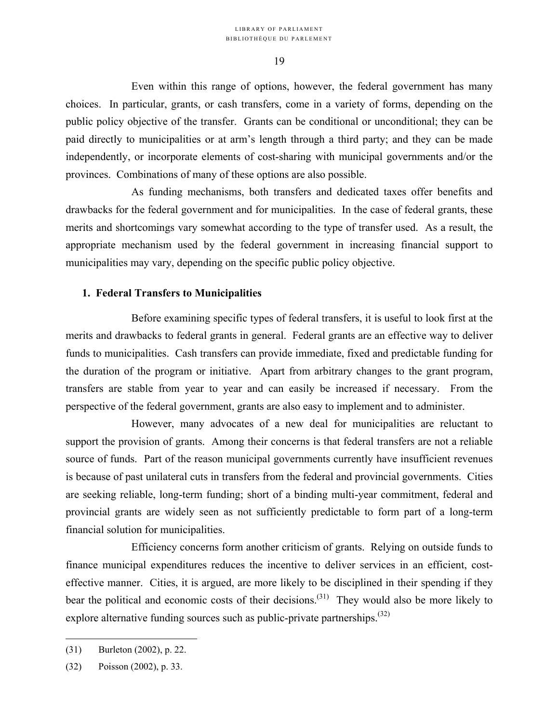Even within this range of options, however, the federal government has many choices. In particular, grants, or cash transfers, come in a variety of forms, depending on the public policy objective of the transfer. Grants can be conditional or unconditional; they can be paid directly to municipalities or at arm's length through a third party; and they can be made independently, or incorporate elements of cost-sharing with municipal governments and/or the provinces. Combinations of many of these options are also possible.

As funding mechanisms, both transfers and dedicated taxes offer benefits and drawbacks for the federal government and for municipalities. In the case of federal grants, these merits and shortcomings vary somewhat according to the type of transfer used. As a result, the appropriate mechanism used by the federal government in increasing financial support to municipalities may vary, depending on the specific public policy objective.

### **1. Federal Transfers to Municipalities**

Before examining specific types of federal transfers, it is useful to look first at the merits and drawbacks to federal grants in general. Federal grants are an effective way to deliver funds to municipalities. Cash transfers can provide immediate, fixed and predictable funding for the duration of the program or initiative. Apart from arbitrary changes to the grant program, transfers are stable from year to year and can easily be increased if necessary. From the perspective of the federal government, grants are also easy to implement and to administer.

However, many advocates of a new deal for municipalities are reluctant to support the provision of grants. Among their concerns is that federal transfers are not a reliable source of funds. Part of the reason municipal governments currently have insufficient revenues is because of past unilateral cuts in transfers from the federal and provincial governments. Cities are seeking reliable, long-term funding; short of a binding multi-year commitment, federal and provincial grants are widely seen as not sufficiently predictable to form part of a long-term financial solution for municipalities.

Efficiency concerns form another criticism of grants. Relying on outside funds to finance municipal expenditures reduces the incentive to deliver services in an efficient, costeffective manner. Cities, it is argued, are more likely to be disciplined in their spending if they bear the political and economic costs of their decisions.<sup> $(31)$ </sup> They would also be more likely to explore alternative funding sources such as public-private partnerships.<sup> $(32)$  $(32)$ </sup>

<span id="page-22-0"></span><sup>(31)</sup> Burleton (2002), p. 22.

<span id="page-22-1"></span><sup>(32)</sup> Poisson (2002), p. 33.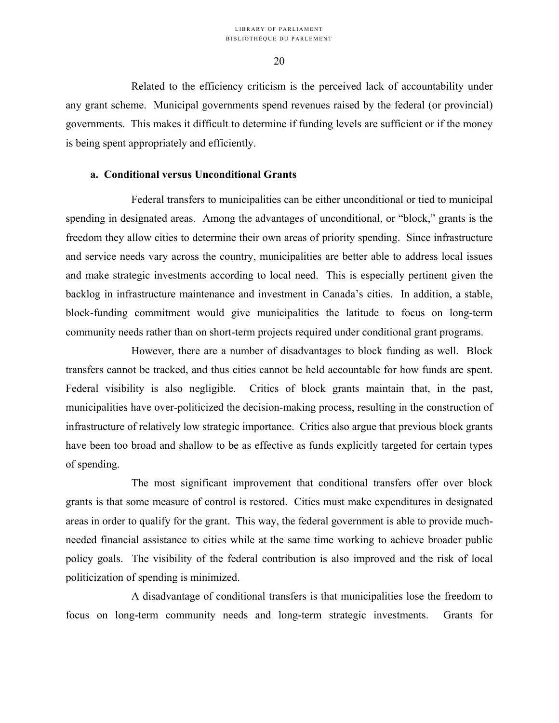#### LIBRARY OF PARLIAMENT BIBLIOTHÈQUE DU PARLEMENT

20

Related to the efficiency criticism is the perceived lack of accountability under any grant scheme. Municipal governments spend revenues raised by the federal (or provincial) governments. This makes it difficult to determine if funding levels are sufficient or if the money is being spent appropriately and efficiently.

### **a. Conditional versus Unconditional Grants**

Federal transfers to municipalities can be either unconditional or tied to municipal spending in designated areas. Among the advantages of unconditional, or "block," grants is the freedom they allow cities to determine their own areas of priority spending. Since infrastructure and service needs vary across the country, municipalities are better able to address local issues and make strategic investments according to local need. This is especially pertinent given the backlog in infrastructure maintenance and investment in Canada's cities. In addition, a stable, block-funding commitment would give municipalities the latitude to focus on long-term community needs rather than on short-term projects required under conditional grant programs.

However, there are a number of disadvantages to block funding as well. Block transfers cannot be tracked, and thus cities cannot be held accountable for how funds are spent. Federal visibility is also negligible. Critics of block grants maintain that, in the past, municipalities have over-politicized the decision-making process, resulting in the construction of infrastructure of relatively low strategic importance. Critics also argue that previous block grants have been too broad and shallow to be as effective as funds explicitly targeted for certain types of spending.

The most significant improvement that conditional transfers offer over block grants is that some measure of control is restored. Cities must make expenditures in designated areas in order to qualify for the grant. This way, the federal government is able to provide muchneeded financial assistance to cities while at the same time working to achieve broader public policy goals. The visibility of the federal contribution is also improved and the risk of local politicization of spending is minimized.

A disadvantage of conditional transfers is that municipalities lose the freedom to focus on long-term community needs and long-term strategic investments. Grants for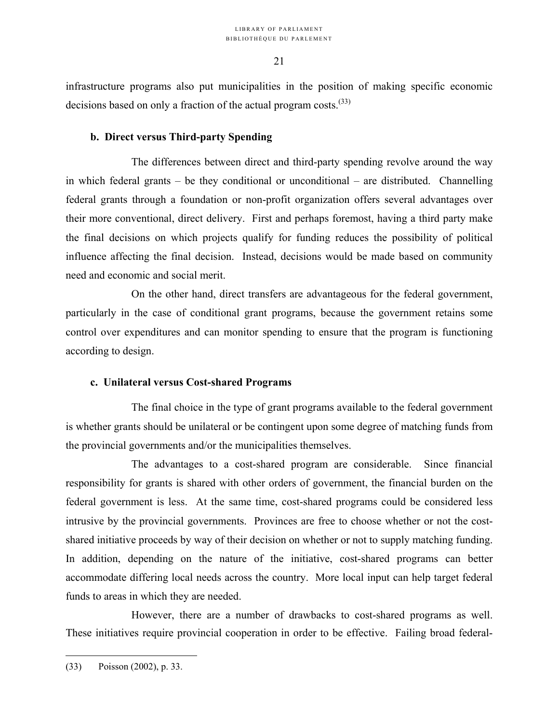infrastructure programs also put municipalities in the position of making specific economic decisions based on only a fraction of the actual program costs.<sup>([33\)](#page-24-0)</sup>

# **b. Direct versus Third-party Spending**

The differences between direct and third-party spending revolve around the way in which federal grants – be they conditional or unconditional – are distributed. Channelling federal grants through a foundation or non-profit organization offers several advantages over their more conventional, direct delivery. First and perhaps foremost, having a third party make the final decisions on which projects qualify for funding reduces the possibility of political influence affecting the final decision. Instead, decisions would be made based on community need and economic and social merit.

On the other hand, direct transfers are advantageous for the federal government, particularly in the case of conditional grant programs, because the government retains some control over expenditures and can monitor spending to ensure that the program is functioning according to design.

# **c. Unilateral versus Cost-shared Programs**

The final choice in the type of grant programs available to the federal government is whether grants should be unilateral or be contingent upon some degree of matching funds from the provincial governments and/or the municipalities themselves.

The advantages to a cost-shared program are considerable. Since financial responsibility for grants is shared with other orders of government, the financial burden on the federal government is less. At the same time, cost-shared programs could be considered less intrusive by the provincial governments. Provinces are free to choose whether or not the costshared initiative proceeds by way of their decision on whether or not to supply matching funding. In addition, depending on the nature of the initiative, cost-shared programs can better accommodate differing local needs across the country. More local input can help target federal funds to areas in which they are needed.

However, there are a number of drawbacks to cost-shared programs as well. These initiatives require provincial cooperation in order to be effective. Failing broad federal-

<span id="page-24-0"></span><sup>(33)</sup> Poisson (2002), p. 33.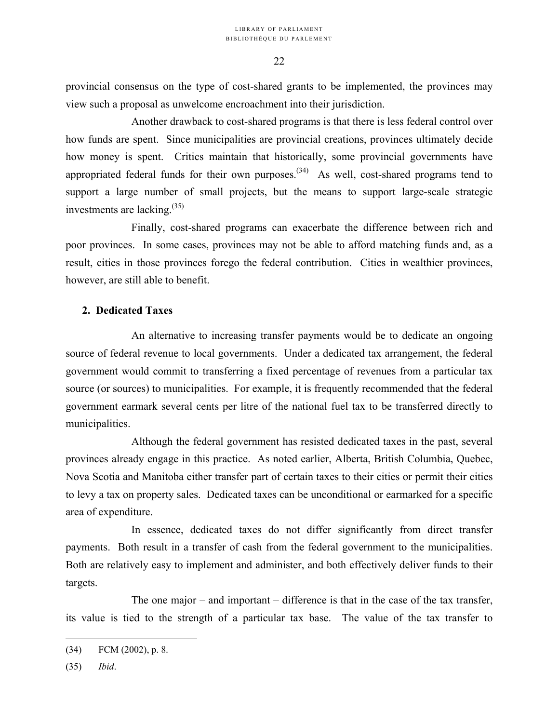provincial consensus on the type of cost-shared grants to be implemented, the provinces may view such a proposal as unwelcome encroachment into their jurisdiction.

Another drawback to cost-shared programs is that there is less federal control over how funds are spent. Since municipalities are provincial creations, provinces ultimately decide how money is spent. Critics maintain that historically, some provincial governments have appropriated federal funds for their own purposes.<sup> $(34)$ </sup> As well, cost-shared programs tend to support a large number of small projects, but the means to support large-scale strategic investments are lacking.<sup>(35)</sup>

Finally, cost-shared programs can exacerbate the difference between rich and poor provinces. In some cases, provinces may not be able to afford matching funds and, as a result, cities in those provinces forego the federal contribution. Cities in wealthier provinces, however, are still able to benefit.

# **2. Dedicated Taxes**

An alternative to increasing transfer payments would be to dedicate an ongoing source of federal revenue to local governments. Under a dedicated tax arrangement, the federal government would commit to transferring a fixed percentage of revenues from a particular tax source (or sources) to municipalities. For example, it is frequently recommended that the federal government earmark several cents per litre of the national fuel tax to be transferred directly to municipalities.

Although the federal government has resisted dedicated taxes in the past, several provinces already engage in this practice. As noted earlier, Alberta, British Columbia, Quebec, Nova Scotia and Manitoba either transfer part of certain taxes to their cities or permit their cities to levy a tax on property sales. Dedicated taxes can be unconditional or earmarked for a specific area of expenditure.

In essence, dedicated taxes do not differ significantly from direct transfer payments. Both result in a transfer of cash from the federal government to the municipalities. Both are relatively easy to implement and administer, and both effectively deliver funds to their targets.

The one major – and important – difference is that in the case of the tax transfer, its value is tied to the strength of a particular tax base. The value of the tax transfer to

<span id="page-25-1"></span><span id="page-25-0"></span><sup>(34)</sup> FCM (2002), p. 8.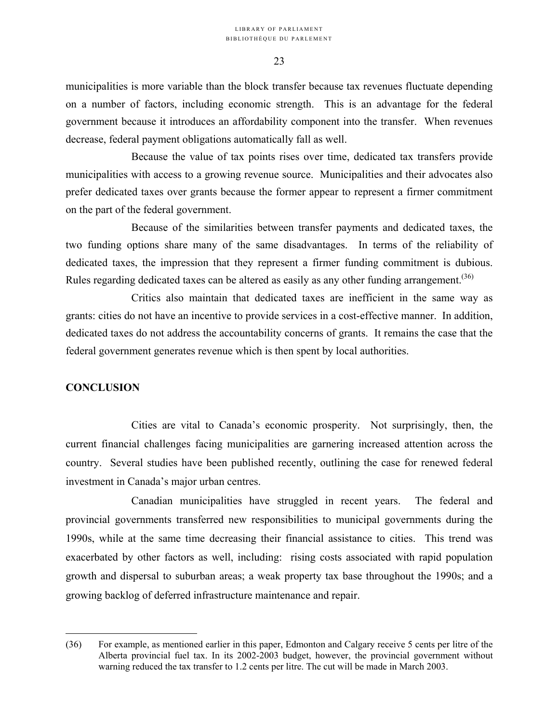municipalities is more variable than the block transfer because tax revenues fluctuate depending on a number of factors, including economic strength. This is an advantage for the federal government because it introduces an affordability component into the transfer. When revenues decrease, federal payment obligations automatically fall as well.

Because the value of tax points rises over time, dedicated tax transfers provide municipalities with access to a growing revenue source. Municipalities and their advocates also prefer dedicated taxes over grants because the former appear to represent a firmer commitment on the part of the federal government.

Because of the similarities between transfer payments and dedicated taxes, the two funding options share many of the same disadvantages. In terms of the reliability of dedicated taxes, the impression that they represent a firmer funding commitment is dubious. Rules regarding dedicated taxes can be altered as easily as any other funding arrangement.<sup>(36)</sup>

Critics also maintain that dedicated taxes are inefficient in the same way as grants: cities do not have an incentive to provide services in a cost-effective manner. In addition, dedicated taxes do not address the accountability concerns of grants. It remains the case that the federal government generates revenue which is then spent by local authorities.

# **CONCLUSION**

1

Cities are vital to Canada's economic prosperity. Not surprisingly, then, the current financial challenges facing municipalities are garnering increased attention across the country. Several studies have been published recently, outlining the case for renewed federal investment in Canada's major urban centres.

 Canadian municipalities have struggled in recent years. The federal and provincial governments transferred new responsibilities to municipal governments during the 1990s, while at the same time decreasing their financial assistance to cities. This trend was exacerbated by other factors as well, including: rising costs associated with rapid population growth and dispersal to suburban areas; a weak property tax base throughout the 1990s; and a growing backlog of deferred infrastructure maintenance and repair.

<span id="page-26-0"></span><sup>(36)</sup> For example, as mentioned earlier in this paper, Edmonton and Calgary receive 5 cents per litre of the Alberta provincial fuel tax. In its 2002-2003 budget, however, the provincial government without warning reduced the tax transfer to 1.2 cents per litre. The cut will be made in March 2003.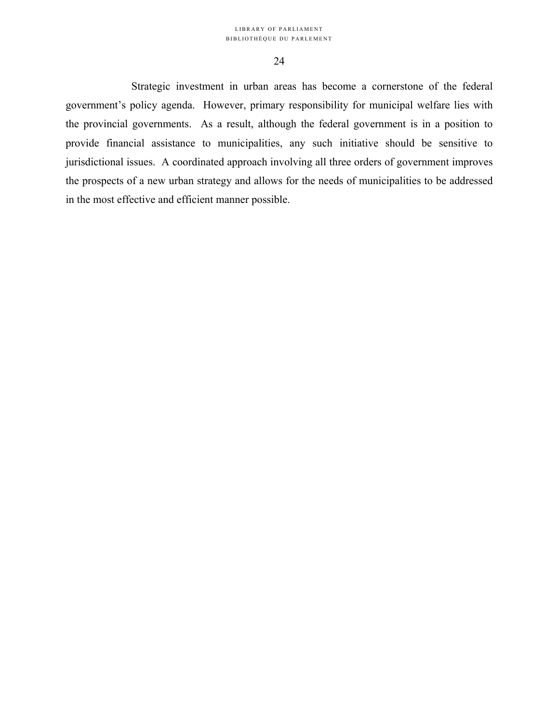Strategic investment in urban areas has become a cornerstone of the federal government's policy agenda. However, primary responsibility for municipal welfare lies with the provincial governments. As a result, although the federal government is in a position to provide financial assistance to municipalities, any such initiative should be sensitive to jurisdictional issues. A coordinated approach involving all three orders of government improves the prospects of a new urban strategy and allows for the needs of municipalities to be addressed in the most effective and efficient manner possible.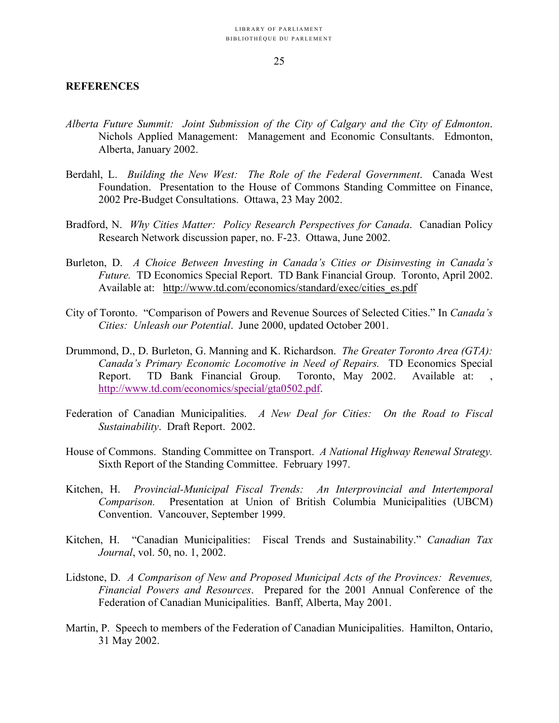### **REFERENCES**

- *Alberta Future Summit: Joint Submission of the City of Calgary and the City of Edmonton*. Nichols Applied Management: Management and Economic Consultants. Edmonton, Alberta, January 2002.
- Berdahl, L. *Building the New West: The Role of the Federal Government*. Canada West Foundation. Presentation to the House of Commons Standing Committee on Finance, 2002 Pre-Budget Consultations. Ottawa, 23 May 2002.
- Bradford, N. *Why Cities Matter: Policy Research Perspectives for Canada*. Canadian Policy Research Network discussion paper, no. F-23. Ottawa, June 2002.
- Burleton, D. *A Choice Between Investing in Canada's Cities or Disinvesting in Canada's Future.* TD Economics Special Report. TD Bank Financial Group. Toronto, April 2002. Available at: [http://www.td.com/economics/standard/exec/cities\\_es.pdf](http://www.td.com/economics/standard/exec/cities_es.pdf)
- City of Toronto. "Comparison of Powers and Revenue Sources of Selected Cities." In *Canada's Cities: Unleash our Potential*. June 2000, updated October 2001.
- Drummond, D., D. Burleton, G. Manning and K. Richardson. *The Greater Toronto Area (GTA): Canada's Primary Economic Locomotive in Need of Repairs.* TD Economics Special Report. TD Bank Financial Group. Toronto, May 2002. Available at: , http://www.td.com/economics/special/gta0502.pdf.
- Federation of Canadian Municipalities. *A New Deal for Cities: On the Road to Fiscal Sustainability*. Draft Report. 2002.
- House of Commons. Standing Committee on Transport. *A National Highway Renewal Strategy.*  Sixth Report of the Standing Committee. February 1997.
- Kitchen, H. *Provincial-Municipal Fiscal Trends: An Interprovincial and Intertemporal Comparison.* Presentation at Union of British Columbia Municipalities (UBCM) Convention. Vancouver, September 1999.
- Kitchen, H. "Canadian Municipalities: Fiscal Trends and Sustainability." *Canadian Tax Journal*, vol. 50, no. 1, 2002.
- Lidstone, D. *A Comparison of New and Proposed Municipal Acts of the Provinces: Revenues, Financial Powers and Resources*. Prepared for the 2001 Annual Conference of the Federation of Canadian Municipalities. Banff, Alberta, May 2001.
- Martin, P. Speech to members of the Federation of Canadian Municipalities. Hamilton, Ontario, 31 May 2002.